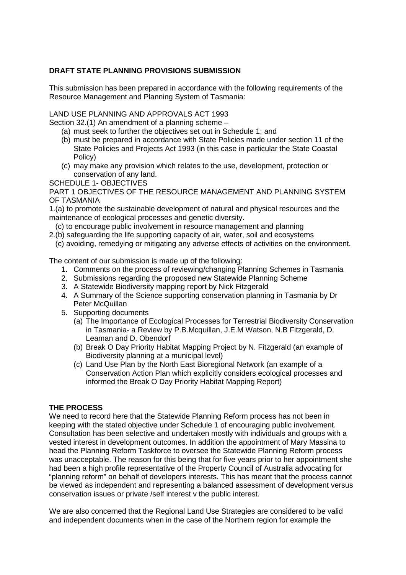## **DRAFT STATE PLANNING PROVISIONS SUBMISSION**

This submission has been prepared in accordance with the following requirements of the Resource Management and Planning System of Tasmania:

#### LAND USE PLANNING AND APPROVALS ACT 1993

Section 32.(1) An amendment of a planning scheme –

- (a) must seek to further the objectives set out in Schedule 1; and
- (b) must be prepared in accordance with State Policies made under section 11 of the State Policies and Projects Act 1993 (in this case in particular the State Coastal Policy)
- (c) may make any provision which relates to the use, development, protection or conservation of any land.

SCHEDULE 1- OBJECTIVES

PART 1 OBJECTIVES OF THE RESOURCE MANAGEMENT AND PLANNING SYSTEM OF TASMANIA

1.(a) to promote the sustainable development of natural and physical resources and the maintenance of ecological processes and genetic diversity.

- (c) to encourage public involvement in resource management and planning
- 2.(b) safeguarding the life supporting capacity of air, water, soil and ecosystems
	- (c) avoiding, remedying or mitigating any adverse effects of activities on the environment.

The content of our submission is made up of the following:

- 1. Comments on the process of reviewing/changing Planning Schemes in Tasmania
- 2. Submissions regarding the proposed new Statewide Planning Scheme
- 3. A Statewide Biodiversity mapping report by Nick Fitzgerald
- 4. A Summary of the Science supporting conservation planning in Tasmania by Dr Peter McQuillan
- 5. Supporting documents
	- (a) The Importance of Ecological Processes for Terrestrial Biodiversity Conservation in Tasmania- a Review by P.B.Mcquillan, J.E.M Watson, N.B Fitzgerald, D. Leaman and D. Obendorf
	- (b) Break O Day Priority Habitat Mapping Project by N. Fitzgerald (an example of Biodiversity planning at a municipal level)
	- (c) Land Use Plan by the North East Bioregional Network (an example of a Conservation Action Plan which explicitly considers ecological processes and informed the Break O Day Priority Habitat Mapping Report)

### **THE PROCESS**

We need to record here that the Statewide Planning Reform process has not been in keeping with the stated objective under Schedule 1 of encouraging public involvement. Consultation has been selective and undertaken mostly with individuals and groups with a vested interest in development outcomes. In addition the appointment of Mary Massina to head the Planning Reform Taskforce to oversee the Statewide Planning Reform process was unacceptable. The reason for this being that for five years prior to her appointment she had been a high profile representative of the Property Council of Australia advocating for "planning reform" on behalf of developers interests. This has meant that the process cannot be viewed as independent and representing a balanced assessment of development versus conservation issues or private /self interest v the public interest.

We are also concerned that the Regional Land Use Strategies are considered to be valid and independent documents when in the case of the Northern region for example the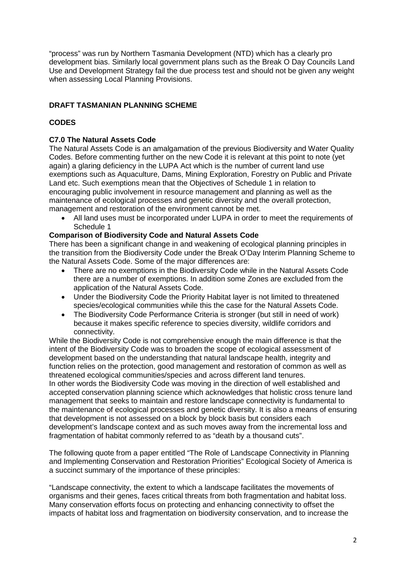"process" was run by Northern Tasmania Development (NTD) which has a clearly pro development bias. Similarly local government plans such as the Break O Day Councils Land Use and Development Strategy fail the due process test and should not be given any weight when assessing Local Planning Provisions.

# **DRAFT TASMANIAN PLANNING SCHEME**

# **CODES**

## **C7.0 The Natural Assets Code**

The Natural Assets Code is an amalgamation of the previous Biodiversity and Water Quality Codes. Before commenting further on the new Code it is relevant at this point to note (yet again) a glaring deficiency in the LUPA Act which is the number of current land use exemptions such as Aquaculture, Dams, Mining Exploration, Forestry on Public and Private Land etc. Such exemptions mean that the Objectives of Schedule 1 in relation to encouraging public involvement in resource management and planning as well as the maintenance of ecological processes and genetic diversity and the overall protection, management and restoration of the environment cannot be met.

• All land uses must be incorporated under LUPA in order to meet the requirements of Schedule 1

## **Comparison of Biodiversity Code and Natural Assets Code**

There has been a significant change in and weakening of ecological planning principles in the transition from the Biodiversity Code under the Break O'Day Interim Planning Scheme to the Natural Assets Code. Some of the major differences are:

- There are no exemptions in the Biodiversity Code while in the Natural Assets Code there are a number of exemptions. In addition some Zones are excluded from the application of the Natural Assets Code.
- Under the Biodiversity Code the Priority Habitat layer is not limited to threatened species/ecological communities while this the case for the Natural Assets Code.
- The Biodiversity Code Performance Criteria is stronger (but still in need of work) because it makes specific reference to species diversity, wildlife corridors and connectivity.

While the Biodiversity Code is not comprehensive enough the main difference is that the intent of the Biodiversity Code was to broaden the scope of ecological assessment of development based on the understanding that natural landscape health, integrity and function relies on the protection, good management and restoration of common as well as threatened ecological communities/species and across different land tenures. In other words the Biodiversity Code was moving in the direction of well established and accepted conservation planning science which acknowledges that holistic cross tenure land management that seeks to maintain and restore landscape connectivity is fundamental to the maintenance of ecological processes and genetic diversity. It is also a means of ensuring that development is not assessed on a block by block basis but considers each development's landscape context and as such moves away from the incremental loss and fragmentation of habitat commonly referred to as "death by a thousand cuts".

The following quote from a paper entitled "The Role of Landscape Connectivity in Planning and Implementing Conservation and Restoration Priorities" Ecological Society of America is a succinct summary of the importance of these principles:

"Landscape connectivity, the extent to which a landscape facilitates the movements of organisms and their genes, faces critical threats from both fragmentation and habitat loss. Many conservation efforts focus on protecting and enhancing connectivity to offset the impacts of habitat loss and fragmentation on biodiversity conservation, and to increase the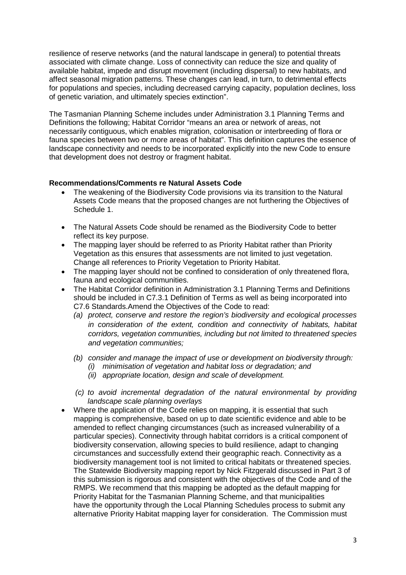resilience of reserve networks (and the natural landscape in general) to potential threats associated with climate change. Loss of connectivity can reduce the size and quality of available habitat, impede and disrupt movement (including dispersal) to new habitats, and affect seasonal migration patterns. These changes can lead, in turn, to detrimental effects for populations and species, including decreased carrying capacity, population declines, loss of genetic variation, and ultimately species extinction".

The Tasmanian Planning Scheme includes under Administration 3.1 Planning Terms and Definitions the following; Habitat Corridor "means an area or network of areas, not necessarily contiguous, which enables migration, colonisation or interbreeding of flora or fauna species between two or more areas of habitat". This definition captures the essence of landscape connectivity and needs to be incorporated explicitly into the new Code to ensure that development does not destroy or fragment habitat.

### **Recommendations/Comments re Natural Assets Code**

- The weakening of the Biodiversity Code provisions via its transition to the Natural Assets Code means that the proposed changes are not furthering the Objectives of Schedule 1.
- The Natural Assets Code should be renamed as the Biodiversity Code to better reflect its key purpose.
- The mapping layer should be referred to as Priority Habitat rather than Priority Vegetation as this ensures that assessments are not limited to just vegetation. Change all references to Priority Vegetation to Priority Habitat.
- The mapping layer should not be confined to consideration of only threatened flora, fauna and ecological communities.
- The Habitat Corridor definition in Administration 3.1 Planning Terms and Definitions should be included in C7.3.1 Definition of Terms as well as being incorporated into C7.6 Standards.Amend the Objectives of the Code to read:
	- *(a) protect, conserve and restore the region's biodiversity and ecological processes in consideration of the extent, condition and connectivity of habitats, habitat corridors, vegetation communities, including but not limited to threatened species and vegetation communities;*
	- *(b) consider and manage the impact of use or development on biodiversity through:* 
		- *(i) minimisation of vegetation and habitat loss or degradation; and*
		- *(ii) appropriate location, design and scale of development.*
	- *(c) to avoid incremental degradation of the natural environmental by providing landscape scale planning overlays*
- Where the application of the Code relies on mapping, it is essential that such mapping is comprehensive, based on up to date scientific evidence and able to be amended to reflect changing circumstances (such as increased vulnerability of a particular species). Connectivity through habitat corridors is a critical component of biodiversity conservation, allowing species to build resilience, adapt to changing circumstances and successfully extend their geographic reach. Connectivity as a biodiversity management tool is not limited to critical habitats or threatened species. The Statewide Biodiversity mapping report by Nick Fitzgerald discussed in Part 3 of this submission is rigorous and consistent with the objectives of the Code and of the RMPS. We recommend that this mapping be adopted as the default mapping for Priority Habitat for the Tasmanian Planning Scheme, and that municipalities have the opportunity through the Local Planning Schedules process to submit any alternative Priority Habitat mapping layer for consideration. The Commission must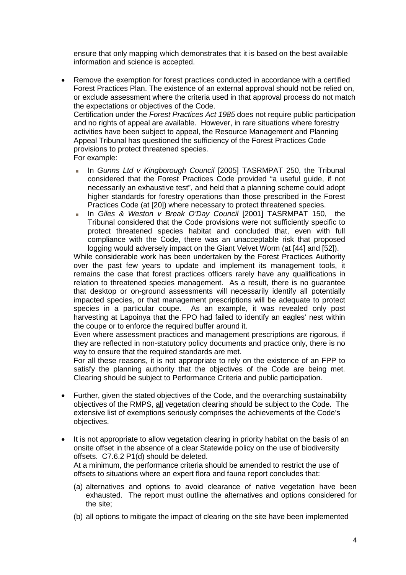ensure that only mapping which demonstrates that it is based on the best available information and science is accepted.

- Remove the exemption for forest practices conducted in accordance with a certified Forest Practices Plan. The existence of an external approval should not be relied on, or exclude assessment where the criteria used in that approval process do not match the expectations or objectives of the Code. Certification under the *Forest Practices Act 1985* does not require public participation and no rights of appeal are available. However, in rare situations where forestry activities have been subject to appeal, the Resource Management and Planning Appeal Tribunal has questioned the sufficiency of the Forest Practices Code provisions to protect threatened species. For example:
	- In *Gunns Ltd v Kingborough Council* [2005] TASRMPAT 250, the Tribunal considered that the Forest Practices Code provided "a useful guide, if not necessarily an exhaustive test", and held that a planning scheme could adopt higher standards for forestry operations than those prescribed in the Forest Practices Code (at [20]) where necessary to protect threatened species.
	- In *Giles & Weston v Break O'Day Council* [2001] TASRMPAT 150, the Tribunal considered that the Code provisions were not sufficiently specific to protect threatened species habitat and concluded that, even with full compliance with the Code, there was an unacceptable risk that proposed logging would adversely impact on the Giant Velvet Worm (at [44] and [52]).

While considerable work has been undertaken by the Forest Practices Authority over the past few years to update and implement its management tools, it remains the case that forest practices officers rarely have any qualifications in relation to threatened species management. As a result, there is no guarantee that desktop or on-ground assessments will necessarily identify all potentially impacted species, or that management prescriptions will be adequate to protect species in a particular coupe. As an example, it was revealed only post harvesting at Lapoinya that the FPO had failed to identify an eagles' nest within the coupe or to enforce the required buffer around it.

Even where assessment practices and management prescriptions are rigorous, if they are reflected in non-statutory policy documents and practice only, there is no way to ensure that the required standards are met.

For all these reasons, it is not appropriate to rely on the existence of an FPP to satisfy the planning authority that the objectives of the Code are being met. Clearing should be subject to Performance Criteria and public participation.

- Further, given the stated objectives of the Code, and the overarching sustainability objectives of the RMPS, all vegetation clearing should be subject to the Code. The extensive list of exemptions seriously comprises the achievements of the Code's objectives.
- It is not appropriate to allow vegetation clearing in priority habitat on the basis of an onsite offset in the absence of a clear Statewide policy on the use of biodiversity offsets. C7.6.2 P1(d) should be deleted. At a minimum, the performance criteria should be amended to restrict the use of offsets to situations where an expert flora and fauna report concludes that:
	- (a) alternatives and options to avoid clearance of native vegetation have been exhausted. The report must outline the alternatives and options considered for the site;
	- (b) all options to mitigate the impact of clearing on the site have been implemented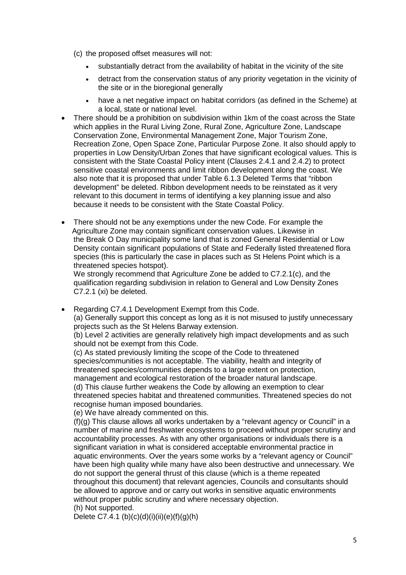- (c) the proposed offset measures will not:
	- substantially detract from the availability of habitat in the vicinity of the site
	- detract from the conservation status of any priority vegetation in the vicinity of the site or in the bioregional generally
	- have a net negative impact on habitat corridors (as defined in the Scheme) at a local, state or national level.
- There should be a prohibition on subdivision within 1km of the coast across the State which applies in the Rural Living Zone, Rural Zone, Agriculture Zone, Landscape Conservation Zone, Environmental Management Zone, Major Tourism Zone, Recreation Zone, Open Space Zone, Particular Purpose Zone. It also should apply to properties in Low Density/Urban Zones that have significant ecological values. This is consistent with the State Coastal Policy intent (Clauses 2.4.1 and 2.4.2) to protect sensitive coastal environments and limit ribbon development along the coast. We also note that it is proposed that under Table 6.1.3 Deleted Terms that "ribbon development" be deleted. Ribbon development needs to be reinstated as it very relevant to this document in terms of identifying a key planning issue and also because it needs to be consistent with the State Coastal Policy.
- There should not be any exemptions under the new Code. For example the Agriculture Zone may contain significant conservation values. Likewise in the Break O Day municipality some land that is zoned General Residential or Low Density contain significant populations of State and Federally listed threatened flora species (this is particularly the case in places such as St Helens Point which is a threatened species hotspot).

We strongly recommend that Agriculture Zone be added to C7.2.1(c), and the qualification regarding subdivision in relation to General and Low Density Zones C7.2.1 (xi) be deleted.

• Regarding C7.4.1 Development Exempt from this Code. (a) Generally support this concept as long as it is not misused to justify unnecessary projects such as the St Helens Barway extension.

(b) Level 2 activities are generally relatively high impact developments and as such should not be exempt from this Code.

(c) As stated previously limiting the scope of the Code to threatened species/communities is not acceptable. The viability, health and integrity of threatened species/communities depends to a large extent on protection, management and ecological restoration of the broader natural landscape. (d) This clause further weakens the Code by allowing an exemption to clear threatened species habitat and threatened communities. Threatened species do not recognise human imposed boundaries.

(e) We have already commented on this.

 $(f)(q)$  This clause allows all works undertaken by a "relevant agency or Council" in a number of marine and freshwater ecosystems to proceed without proper scrutiny and accountability processes. As with any other organisations or individuals there is a significant variation in what is considered acceptable environmental practice in aquatic environments. Over the years some works by a "relevant agency or Council" have been high quality while many have also been destructive and unnecessary. We do not support the general thrust of this clause (which is a theme repeated throughout this document) that relevant agencies, Councils and consultants should be allowed to approve and or carry out works in sensitive aquatic environments without proper public scrutiny and where necessary objection. (h) Not supported.

Delete C7.4.1 (b)(c)(d)(i)(ii)(e)(f)(g)(h)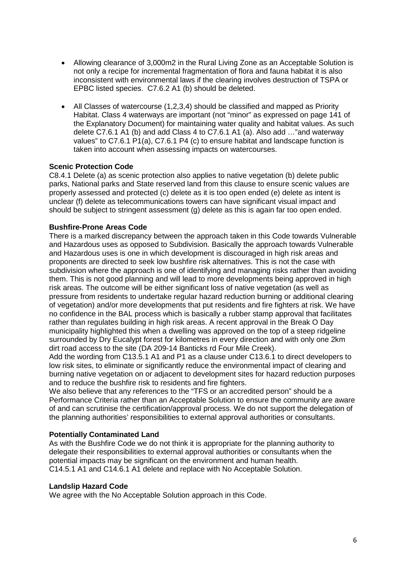- Allowing clearance of 3,000m2 in the Rural Living Zone as an Acceptable Solution is not only a recipe for incremental fragmentation of flora and fauna habitat it is also inconsistent with environmental laws if the clearing involves destruction of TSPA or EPBC listed species. C7.6.2 A1 (b) should be deleted.
- All Classes of watercourse (1,2,3,4) should be classified and mapped as Priority Habitat. Class 4 waterways are important (not "minor" as expressed on page 141 of the Explanatory Document) for maintaining water quality and habitat values. As such delete C7.6.1 A1 (b) and add Class 4 to C7.6.1 A1 (a). Also add …"and waterway values" to C7.6.1 P1(a), C7.6.1 P4 (c) to ensure habitat and landscape function is taken into account when assessing impacts on watercourses.

### **Scenic Protection Code**

C8.4.1 Delete (a) as scenic protection also applies to native vegetation (b) delete public parks, National parks and State reserved land from this clause to ensure scenic values are properly assessed and protected (c) delete as it is too open ended (e) delete as intent is unclear (f) delete as telecommunications towers can have significant visual impact and should be subject to stringent assessment (g) delete as this is again far too open ended.

## **Bushfire-Prone Areas Code**

There is a marked discrepancy between the approach taken in this Code towards Vulnerable and Hazardous uses as opposed to Subdivision. Basically the approach towards Vulnerable and Hazardous uses is one in which development is discouraged in high risk areas and proponents are directed to seek low bushfire risk alternatives. This is not the case with subdivision where the approach is one of identifying and managing risks rather than avoiding them. This is not good planning and will lead to more developments being approved in high risk areas. The outcome will be either significant loss of native vegetation (as well as pressure from residents to undertake regular hazard reduction burning or additional clearing of vegetation) and/or more developments that put residents and fire fighters at risk. We have no confidence in the BAL process which is basically a rubber stamp approval that facilitates rather than regulates building in high risk areas. A recent approval in the Break O Day municipality highlighted this when a dwelling was approved on the top of a steep ridgeline surrounded by Dry Eucalypt forest for kilometres in every direction and with only one 2km dirt road access to the site (DA 209-14 Banticks rd Four Mile Creek).

Add the wording from C13.5.1 A1 and P1 as a clause under C13.6.1 to direct developers to low risk sites, to eliminate or significantly reduce the environmental impact of clearing and burning native vegetation on or adjacent to development sites for hazard reduction purposes and to reduce the bushfire risk to residents and fire fighters.

We also believe that any references to the "TFS or an accredited person" should be a Performance Criteria rather than an Acceptable Solution to ensure the community are aware of and can scrutinise the certification/approval process. We do not support the delegation of the planning authorities' responsibilities to external approval authorities or consultants.

### **Potentially Contaminated Land**

As with the Bushfire Code we do not think it is appropriate for the planning authority to delegate their responsibilities to external approval authorities or consultants when the potential impacts may be significant on the environment and human health. C14.5.1 A1 and C14.6.1 A1 delete and replace with No Acceptable Solution.

### **Landslip Hazard Code**

We agree with the No Acceptable Solution approach in this Code.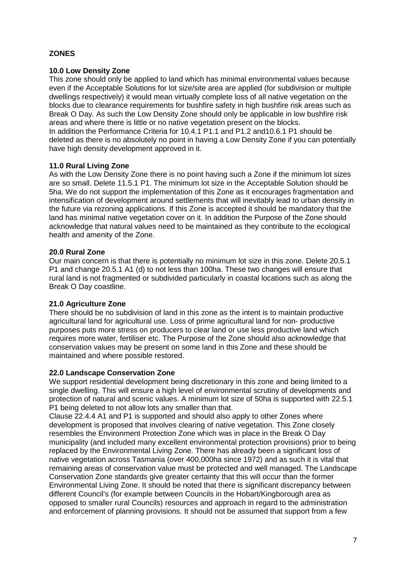# **ZONES**

## **10.0 Low Density Zone**

This zone should only be applied to land which has minimal environmental values because even if the Acceptable Solutions for lot size/site area are applied (for subdivision or multiple dwellings respectively) it would mean virtually complete loss of all native vegetation on the blocks due to clearance requirements for bushfire safety in high bushfire risk areas such as Break O Day. As such the Low Density Zone should only be applicable in low bushfire risk areas and where there is little or no native vegetation present on the blocks. In addition the Performance Criteria for 10.4.1 P1.1 and P1.2 and10.6.1 P1 should be deleted as there is no absolutely no point in having a Low Density Zone if you can potentially have high density development approved in it.

### **11.0 Rural Living Zone**

As with the Low Density Zone there is no point having such a Zone if the minimum lot sizes are so small. Delete 11.5.1 P1. The minimum lot size in the Acceptable Solution should be 5ha. We do not support the implementation of this Zone as it encourages fragmentation and intensification of development around settlements that will inevitably lead to urban density in the future via rezoning applications. If this Zone is accepted it should be mandatory that the land has minimal native vegetation cover on it. In addition the Purpose of the Zone should acknowledge that natural values need to be maintained as they contribute to the ecological health and amenity of the Zone.

### **20.0 Rural Zone**

Our main concern is that there is potentially no minimum lot size in this zone. Delete 20.5.1 P1 and change 20.5.1 A1 (d) to not less than 100ha. These two changes will ensure that rural land is not fragmented or subdivided particularly in coastal locations such as along the Break O Day coastline.

### **21.0 Agriculture Zone**

There should be no subdivision of land in this zone as the intent is to maintain productive agricultural land for agricultural use. Loss of prime agricultural land for non- productive purposes puts more stress on producers to clear land or use less productive land which requires more water, fertiliser etc. The Purpose of the Zone should also acknowledge that conservation values may be present on some land in this Zone and these should be maintained and where possible restored.

### **22.0 Landscape Conservation Zone**

We support residential development being discretionary in this zone and being limited to a single dwelling. This will ensure a high level of environmental scrutiny of developments and protection of natural and scenic values. A minimum lot size of 50ha is supported with 22.5.1 P1 being deleted to not allow lots any smaller than that.

Clause 22.4.4 A1 and P1 is supported and should also apply to other Zones where development is proposed that involves clearing of native vegetation. This Zone closely resembles the Environment Protection Zone which was in place in the Break O Day municipality (and included many excellent environmental protection provisions) prior to being replaced by the Environmental Living Zone. There has already been a significant loss of native vegetation across Tasmania (over 400,000ha since 1972) and as such it is vital that remaining areas of conservation value must be protected and well managed. The Landscape Conservation Zone standards give greater certainty that this will occur than the former Environmental Living Zone. It should be noted that there is significant discrepancy between different Council's (for example between Councils in the Hobart/Kingborough area as opposed to smaller rural Councils) resources and approach in regard to the administration and enforcement of planning provisions. It should not be assumed that support from a few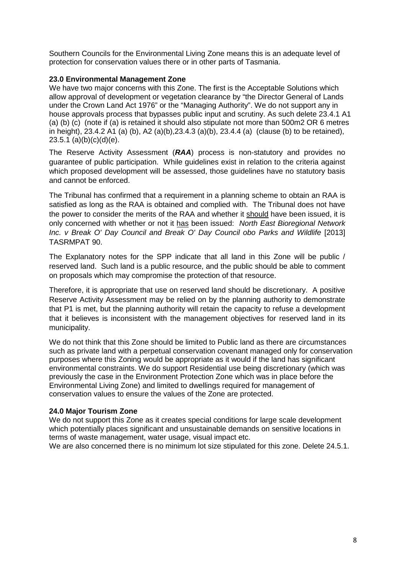Southern Councils for the Environmental Living Zone means this is an adequate level of protection for conservation values there or in other parts of Tasmania.

## **23.0 Environmental Management Zone**

We have two major concerns with this Zone. The first is the Acceptable Solutions which allow approval of development or vegetation clearance by "the Director General of Lands under the Crown Land Act 1976" or the "Managing Authority". We do not support any in house approvals process that bypasses public input and scrutiny. As such delete 23.4.1 A1 (a) (b) (c) (note if (a) is retained it should also stipulate not more than 500m2 OR 6 metres in height), 23.4.2 A1 (a) (b), A2 (a)(b),23.4.3 (a)(b), 23.4.4 (a) (clause (b) to be retained),  $23.5.1$  (a)(b)(c)(d)(e).

The Reserve Activity Assessment (*RAA*) process is non-statutory and provides no guarantee of public participation. While guidelines exist in relation to the criteria against which proposed development will be assessed, those guidelines have no statutory basis and cannot be enforced.

The Tribunal has confirmed that a requirement in a planning scheme to obtain an RAA is satisfied as long as the RAA is obtained and complied with. The Tribunal does not have the power to consider the merits of the RAA and whether it should have been issued, it is only concerned with whether or not it has been issued: *North East Bioregional Network Inc. v Break O' Day Council and Break O' Day Council obo Parks and Wildlife* [2013] TASRMPAT 90.

The Explanatory notes for the SPP indicate that all land in this Zone will be public / reserved land. Such land is a public resource, and the public should be able to comment on proposals which may compromise the protection of that resource.

Therefore, it is appropriate that use on reserved land should be discretionary. A positive Reserve Activity Assessment may be relied on by the planning authority to demonstrate that P1 is met, but the planning authority will retain the capacity to refuse a development that it believes is inconsistent with the management objectives for reserved land in its municipality.

We do not think that this Zone should be limited to Public land as there are circumstances such as private land with a perpetual conservation covenant managed only for conservation purposes where this Zoning would be appropriate as it would if the land has significant environmental constraints. We do support Residential use being discretionary (which was previously the case in the Environment Protection Zone which was in place before the Environmental Living Zone) and limited to dwellings required for management of conservation values to ensure the values of the Zone are protected.

### **24.0 Major Tourism Zone**

We do not support this Zone as it creates special conditions for large scale development which potentially places significant and unsustainable demands on sensitive locations in terms of waste management, water usage, visual impact etc.

We are also concerned there is no minimum lot size stipulated for this zone. Delete 24.5.1.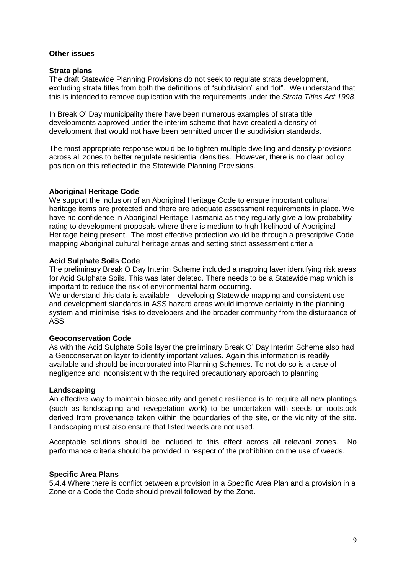#### **Other issues**

#### **Strata plans**

The draft Statewide Planning Provisions do not seek to regulate strata development, excluding strata titles from both the definitions of "subdivision" and "lot". We understand that this is intended to remove duplication with the requirements under the *Strata Titles Act 1998*.

In Break O' Day municipality there have been numerous examples of strata title developments approved under the interim scheme that have created a density of development that would not have been permitted under the subdivision standards.

The most appropriate response would be to tighten multiple dwelling and density provisions across all zones to better regulate residential densities. However, there is no clear policy position on this reflected in the Statewide Planning Provisions.

### **Aboriginal Heritage Code**

We support the inclusion of an Aboriginal Heritage Code to ensure important cultural heritage items are protected and there are adequate assessment requirements in place. We have no confidence in Aboriginal Heritage Tasmania as they regularly give a low probability rating to development proposals where there is medium to high likelihood of Aboriginal Heritage being present. The most effective protection would be through a prescriptive Code mapping Aboriginal cultural heritage areas and setting strict assessment criteria

### **Acid Sulphate Soils Code**

The preliminary Break O Day Interim Scheme included a mapping layer identifying risk areas for Acid Sulphate Soils. This was later deleted. There needs to be a Statewide map which is important to reduce the risk of environmental harm occurring.

We understand this data is available – developing Statewide mapping and consistent use and development standards in ASS hazard areas would improve certainty in the planning system and minimise risks to developers and the broader community from the disturbance of ASS.

### **Geoconservation Code**

As with the Acid Sulphate Soils layer the preliminary Break O' Day Interim Scheme also had a Geoconservation layer to identify important values. Again this information is readily available and should be incorporated into Planning Schemes. To not do so is a case of negligence and inconsistent with the required precautionary approach to planning.

### **Landscaping**

An effective way to maintain biosecurity and genetic resilience is to require all new plantings (such as landscaping and revegetation work) to be undertaken with seeds or rootstock derived from provenance taken within the boundaries of the site, or the vicinity of the site. Landscaping must also ensure that listed weeds are not used.

Acceptable solutions should be included to this effect across all relevant zones. No performance criteria should be provided in respect of the prohibition on the use of weeds.

### **Specific Area Plans**

5.4.4 Where there is conflict between a provision in a Specific Area Plan and a provision in a Zone or a Code the Code should prevail followed by the Zone.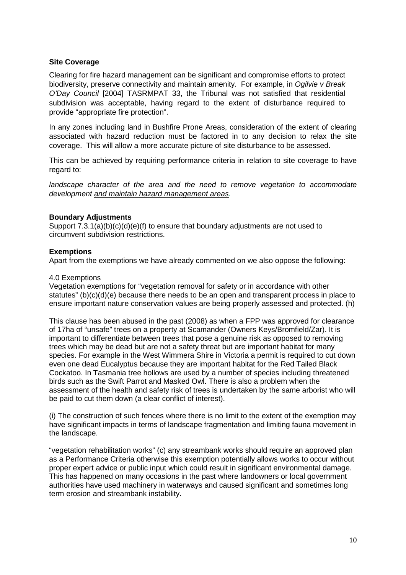### **Site Coverage**

Clearing for fire hazard management can be significant and compromise efforts to protect biodiversity, preserve connectivity and maintain amenity. For example, in *Ogilvie v Break O'Day Council* [2004] TASRMPAT 33, the Tribunal was not satisfied that residential subdivision was acceptable, having regard to the extent of disturbance required to provide "appropriate fire protection".

In any zones including land in Bushfire Prone Areas, consideration of the extent of clearing associated with hazard reduction must be factored in to any decision to relax the site coverage. This will allow a more accurate picture of site disturbance to be assessed.

This can be achieved by requiring performance criteria in relation to site coverage to have regard to:

*landscape character of the area and the need to remove vegetation to accommodate development and maintain hazard management areas.*

## **Boundary Adjustments**

Support  $7.3.1(a)(b)(c)(d)(e)(f)$  to ensure that boundary adjustments are not used to circumvent subdivision restrictions.

## **Exemptions**

Apart from the exemptions we have already commented on we also oppose the following:

### 4.0 Exemptions

Vegetation exemptions for "vegetation removal for safety or in accordance with other statutes" (b)(c)(d)(e) because there needs to be an open and transparent process in place to ensure important nature conservation values are being properly assessed and protected. (h)

This clause has been abused in the past (2008) as when a FPP was approved for clearance of 17ha of "unsafe" trees on a property at Scamander (Owners Keys/Bromfield/Zar). It is important to differentiate between trees that pose a genuine risk as opposed to removing trees which may be dead but are not a safety threat but are important habitat for many species. For example in the West Wimmera Shire in Victoria a permit is required to cut down even one dead Eucalyptus because they are important habitat for the Red Tailed Black Cockatoo. In Tasmania tree hollows are used by a number of species including threatened birds such as the Swift Parrot and Masked Owl. There is also a problem when the assessment of the health and safety risk of trees is undertaken by the same arborist who will be paid to cut them down (a clear conflict of interest).

(i) The construction of such fences where there is no limit to the extent of the exemption may have significant impacts in terms of landscape fragmentation and limiting fauna movement in the landscape.

"vegetation rehabilitation works" (c) any streambank works should require an approved plan as a Performance Criteria otherwise this exemption potentially allows works to occur without proper expert advice or public input which could result in significant environmental damage. This has happened on many occasions in the past where landowners or local government authorities have used machinery in waterways and caused significant and sometimes long term erosion and streambank instability.